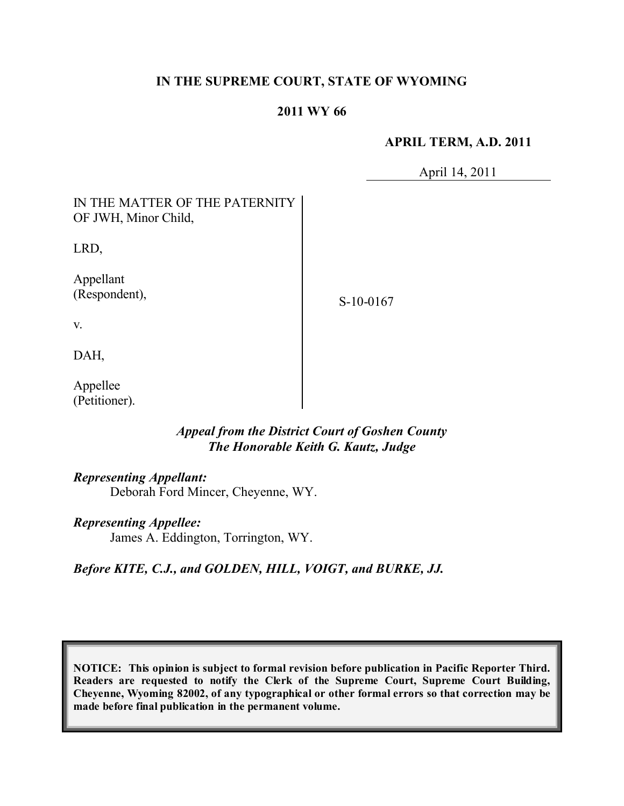### **IN THE SUPREME COURT, STATE OF WYOMING**

#### **2011 WY 66**

#### **APRIL TERM, A.D. 2011**

April 14, 2011

| IN THE MATTER OF THE PATERNITY<br>OF JWH, Minor Child, |           |
|--------------------------------------------------------|-----------|
| LRD,                                                   |           |
| Appellant<br>(Respondent),                             | S-10-0167 |
| V.                                                     |           |
| DAH,                                                   |           |
| Appellee                                               |           |

## *Appeal from the District Court of Goshen County The Honorable Keith G. Kautz, Judge*

#### *Representing Appellant:*

(Petitioner).

Deborah Ford Mincer, Cheyenne, WY.

*Representing Appellee:*

James A. Eddington, Torrington, WY.

*Before KITE, C.J., and GOLDEN, HILL, VOIGT, and BURKE, JJ.*

**NOTICE: This opinion is subject to formal revision before publication in Pacific Reporter Third. Readers are requested to notify the Clerk of the Supreme Court, Supreme Court Building, Cheyenne, Wyoming 82002, of any typographical or other formal errors so that correction may be made before final publication in the permanent volume.**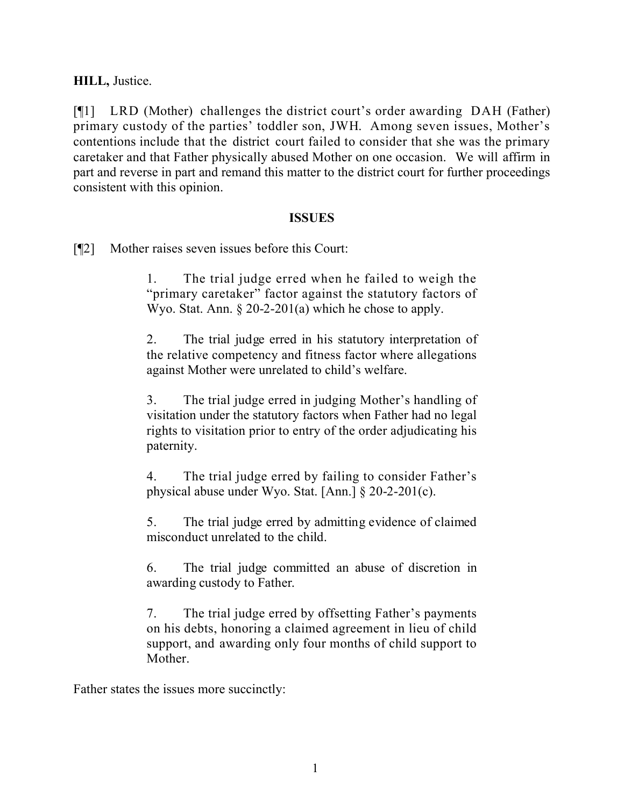**HILL,** Justice.

[¶1] LRD (Mother) challenges the district court's order awarding DAH (Father) primary custody of the parties' toddler son, JWH. Among seven issues, Mother's contentions include that the district court failed to consider that she was the primary caretaker and that Father physically abused Mother on one occasion. We will affirm in part and reverse in part and remand this matter to the district court for further proceedings consistent with this opinion.

### **ISSUES**

[¶2] Mother raises seven issues before this Court:

1. The trial judge erred when he failed to weigh the "primary caretaker" factor against the statutory factors of Wyo. Stat. Ann. § 20-2-201(a) which he chose to apply.

2. The trial judge erred in his statutory interpretation of the relative competency and fitness factor where allegations against Mother were unrelated to child's welfare.

3. The trial judge erred in judging Mother's handling of visitation under the statutory factors when Father had no legal rights to visitation prior to entry of the order adjudicating his paternity.

4. The trial judge erred by failing to consider Father's physical abuse under Wyo. Stat. [Ann.] § 20-2-201(c).

5. The trial judge erred by admitting evidence of claimed misconduct unrelated to the child.

6. The trial judge committed an abuse of discretion in awarding custody to Father.

7. The trial judge erred by offsetting Father's payments on his debts, honoring a claimed agreement in lieu of child support, and awarding only four months of child support to Mother.

Father states the issues more succinctly: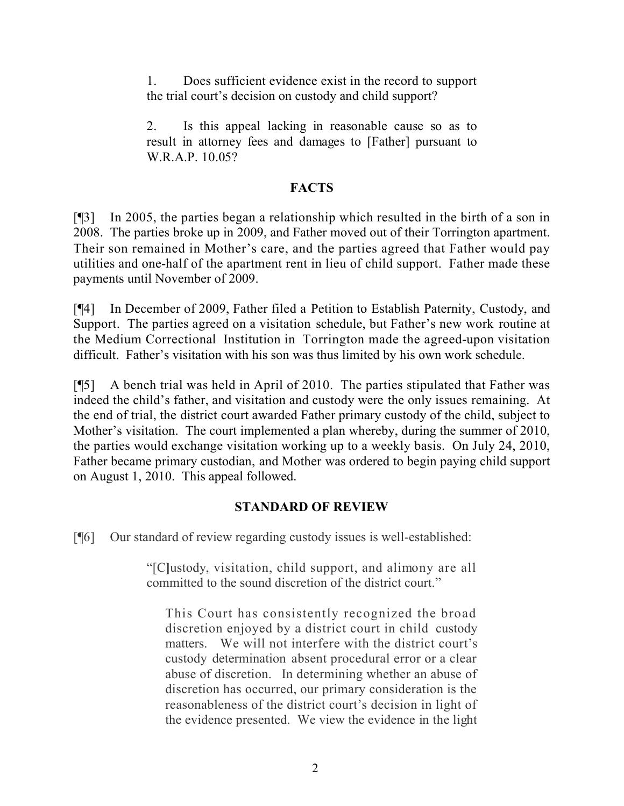1. Does sufficient evidence exist in the record to support the trial court's decision on custody and child support?

2. Is this appeal lacking in reasonable cause so as to result in attorney fees and damages to [Father] pursuant to W.R.A.P. 10.05?

## **FACTS**

[¶3] In 2005, the parties began a relationship which resulted in the birth of a son in 2008. The parties broke up in 2009, and Father moved out of their Torrington apartment. Their son remained in Mother's care, and the parties agreed that Father would pay utilities and one-half of the apartment rent in lieu of child support. Father made these payments until November of 2009.

[¶4] In December of 2009, Father filed a Petition to Establish Paternity, Custody, and Support. The parties agreed on a visitation schedule, but Father's new work routine at the Medium Correctional Institution in Torrington made the agreed-upon visitation difficult. Father's visitation with his son was thus limited by his own work schedule.

[¶5] A bench trial was held in April of 2010. The parties stipulated that Father was indeed the child's father, and visitation and custody were the only issues remaining. At the end of trial, the district court awarded Father primary custody of the child, subject to Mother's visitation. The court implemented a plan whereby, during the summer of 2010, the parties would exchange visitation working up to a weekly basis. On July 24, 2010, Father became primary custodian, and Mother was ordered to begin paying child support on August 1, 2010. This appeal followed.

# **STANDARD OF REVIEW**

[¶6] Our standard of review regarding custody issues is well-established:

"[C**]**ustody, visitation, child support, and alimony are all committed to the sound discretion of the district court."

This Court has consistently recognized the broad discretion enjoyed by a district court in child custody matters. We will not interfere with the district court's custody determination absent procedural error or a clear abuse of discretion. In determining whether an abuse of discretion has occurred, our primary consideration is the reasonableness of the district court's decision in light of the evidence presented. We view the evidence in the light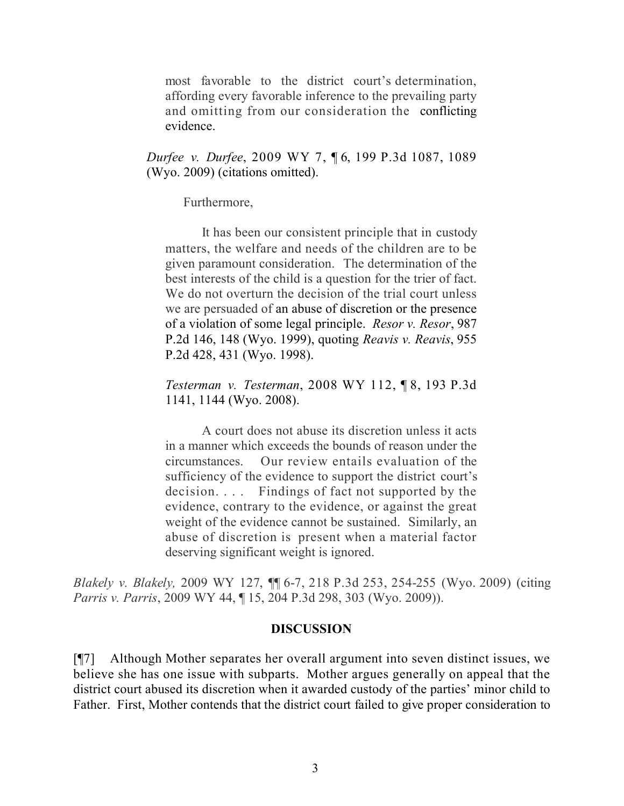most favorable to the district court's determination, affording every favorable inference to the prevailing party and omitting from our consideration the conflicting evidence.

*Durfee v. Durfee*, 2009 WY 7, ¶ 6, 199 P.3d 1087, 1089 (Wyo. 2009) (citations omitted).

Furthermore,

It has been our consistent principle that in custody matters, the welfare and needs of the children are to be given paramount consideration. The determination of the best interests of the child is a question for the trier of fact. We do not overturn the decision of the trial court unless we are persuaded of an abuse of discretion or the presence of a violation of some legal principle. *Resor v. Resor*, 987 P.2d 146, 148 (Wyo. 1999), quoting *Reavis v. Reavis*, 955 P.2d 428, 431 (Wyo. 1998).

*Testerman v. Testerman*, 2008 WY 112, ¶ 8, 193 P.3d 1141, 1144 (Wyo. 2008).

A court does not abuse its discretion unless it acts in a manner which exceeds the bounds of reason under the circumstances. Our review entails evaluation of the sufficiency of the evidence to support the district court's decision. . . . Findings of fact not supported by the evidence, contrary to the evidence, or against the great weight of the evidence cannot be sustained. Similarly, an abuse of discretion is present when a material factor deserving significant weight is ignored.

*Blakely v. Blakely,* 2009 WY 127, ¶¶ 6-7, 218 P.3d 253, 254-255 (Wyo. 2009) (citing *Parris v. Parris*, 2009 WY 44, ¶ 15, 204 P.3d 298, 303 (Wyo. 2009)).

### **DISCUSSION**

[¶7] Although Mother separates her overall argument into seven distinct issues, we believe she has one issue with subparts. Mother argues generally on appeal that the district court abused its discretion when it awarded custody of the parties' minor child to Father. First, Mother contends that the district court failed to give proper consideration to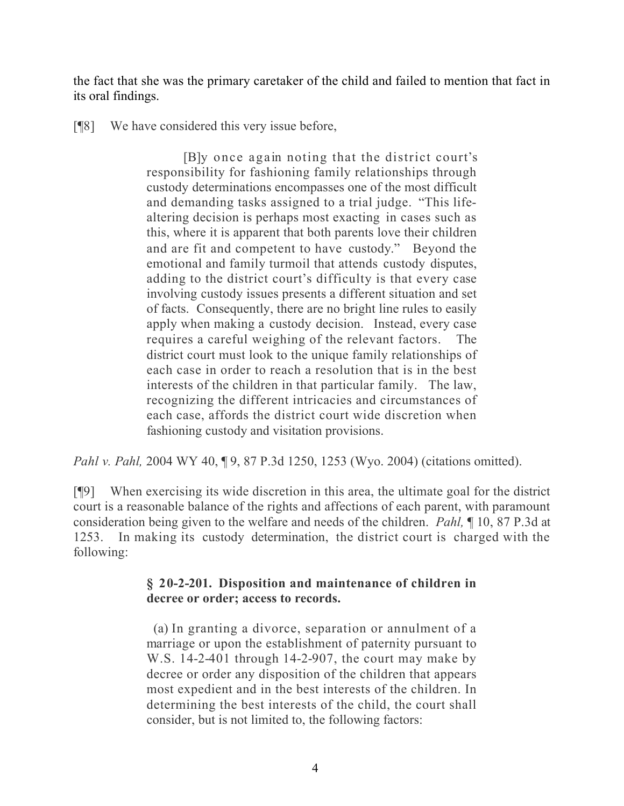the fact that she was the primary caretaker of the child and failed to mention that fact in its oral findings.

[¶8] We have considered this very issue before,

[B]y once again noting that the district court's responsibility for fashioning family relationships through custody determinations encompasses one of the most difficult and demanding tasks assigned to a trial judge. "This lifealtering decision is perhaps most exacting in cases such as this, where it is apparent that both parents love their children and are fit and competent to have custody." Beyond the emotional and family turmoil that attends custody disputes, adding to the district court's difficulty is that every case involving custody issues presents a different situation and set of facts. Consequently, there are no bright line rules to easily apply when making a custody decision. Instead, every case requires a careful weighing of the relevant factors. The district court must look to the unique family relationships of each case in order to reach a resolution that is in the best interests of the children in that particular family. The law, recognizing the different intricacies and circumstances of each case, affords the district court wide discretion when fashioning custody and visitation provisions.

*Pahl v. Pahl,* 2004 WY 40, ¶ 9, 87 P.3d 1250, 1253 (Wyo. 2004) (citations omitted).

[¶9] When exercising its wide discretion in this area, the ultimate goal for the district court is a reasonable balance of the rights and affections of each parent, with paramount consideration being given to the welfare and needs of the children. *Pahl,* ¶ 10, 87 P.3d at 1253. In making its custody determination, the district court is charged with the following:

## **§ 20-2-201. Disposition and maintenance of children in decree or order; access to records.**

 (a) In granting a divorce, separation or annulment of a marriage or upon the establishment of paternity pursuant to W.S. 14-2-401 through 14-2-907, the court may make by decree or order any disposition of the children that appears most expedient and in the best interests of the children. In determining the best interests of the child, the court shall consider, but is not limited to, the following factors: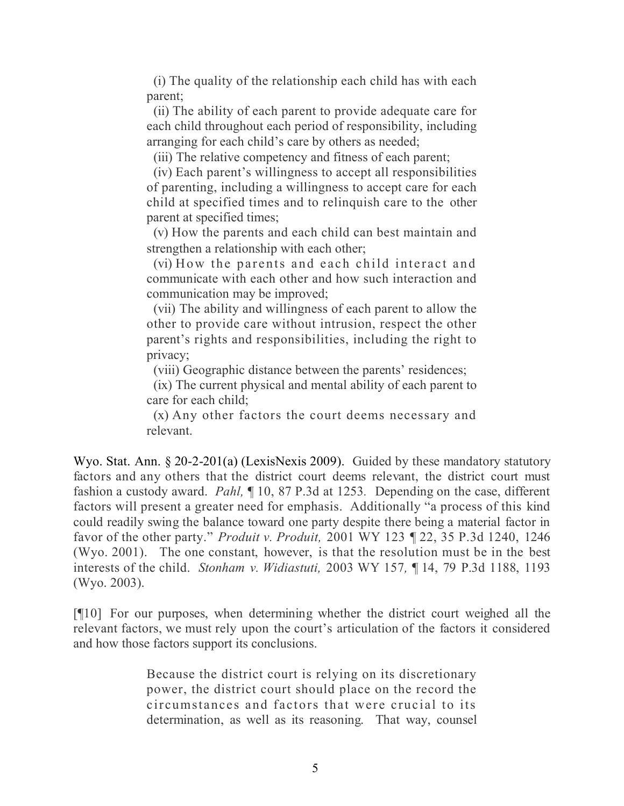(i) The quality of the relationship each child has with each parent;

 (ii) The ability of each parent to provide adequate care for each child throughout each period of responsibility, including arranging for each child's care by others as needed;

(iii) The relative competency and fitness of each parent;

 (iv) Each parent's willingness to accept all responsibilities of parenting, including a willingness to accept care for each child at specified times and to relinquish care to the other parent at specified times;

 (v) How the parents and each child can best maintain and strengthen a relationship with each other;

 (vi) How the parents and each child interact and communicate with each other and how such interaction and communication may be improved;

 (vii) The ability and willingness of each parent to allow the other to provide care without intrusion, respect the other parent's rights and responsibilities, including the right to privacy;

(viii) Geographic distance between the parents' residences;

 (ix) The current physical and mental ability of each parent to care for each child;

 (x) Any other factors the court deems necessary and relevant.

Wyo. Stat. Ann. § 20-2-201(a) (LexisNexis 2009).Guided by these mandatory statutory factors and any others that the district court deems relevant, the district court must fashion a custody award. *Pahl,* ¶ 10, 87 P.3d at 1253*.* Depending on the case, different factors will present a greater need for emphasis. Additionally "a process of this kind could readily swing the balance toward one party despite there being a material factor in favor of the other party." *Produit v. Produit,* 2001 WY 123 ¶ 22, 35 P.3d 1240, 1246 (Wyo. 2001). The one constant, however, is that the resolution must be in the best interests of the child. *Stonham v. Widiastuti,* 2003 WY 157*,* ¶ 14, 79 P.3d 1188, 1193 (Wyo. 2003).

[¶10] For our purposes, when determining whether the district court weighed all the relevant factors, we must rely upon the court's articulation of the factors it considered and how those factors support its conclusions.

> Because the district court is relying on its discretionary power, the district court should place on the record the circumstances and factors that were crucial to its determination, as well as its reasoning. That way, counsel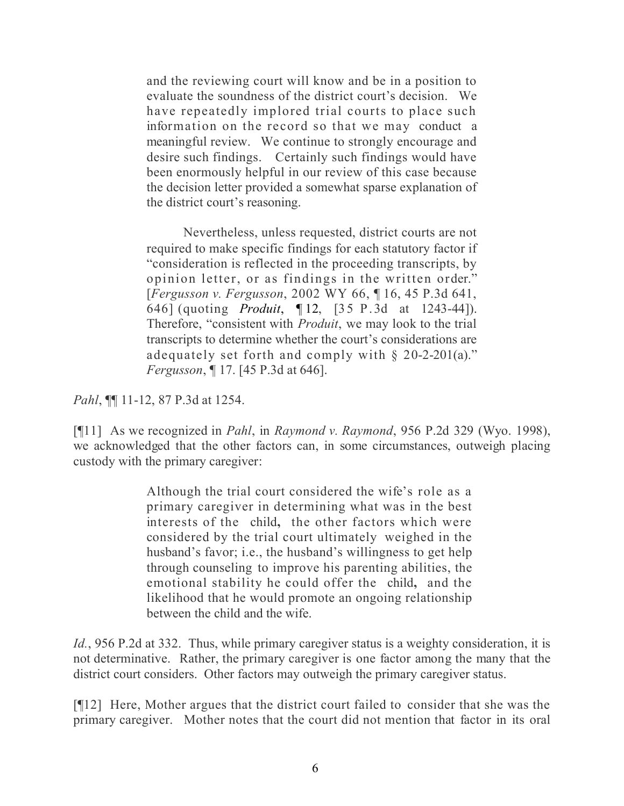and the reviewing court will know and be in a position to evaluate the soundness of the district court's decision. We have repeatedly implored trial courts to place such information on the record so that we may conduct a meaningful review. We continue to strongly encourage and desire such findings. Certainly such findings would have been enormously helpful in our review of this case because the decision letter provided a somewhat sparse explanation of the district court's reasoning.

Nevertheless, unless requested, district courts are not required to make specific findings for each statutory factor if "consideration is reflected in the proceeding transcripts, by opinion letter, or as findings in the written order." [*Fergusson v. Fergusson*, 2002 WY 66, ¶ 16, 45 P.3d 641, 646] (quoting *Produit*, ¶ 12, [35 P.3d at 1243-44]). Therefore, "consistent with *Produit*, we may look to the trial transcripts to determine whether the court's considerations are adequately set forth and comply with  $\S$  20-2-201(a)." *Fergusson*, ¶ 17. [45 P.3d at 646].

*Pahl*, ¶¶ 11-12, 87 P.3d at 1254.

[¶11] As we recognized in *Pahl*, in *Raymond v. Raymond*, 956 P.2d 329 (Wyo. 1998), we acknowledged that the other factors can, in some circumstances, outweigh placing custody with the primary caregiver:

> Although the trial court considered the wife's role as a primary caregiver in determining what was in the best interests of the child**,** the other factors which were considered by the trial court ultimately weighed in the husband's favor; i.e., the husband's willingness to get help through counseling to improve his parenting abilities, the emotional stability he could offer the child**,** and the likelihood that he would promote an ongoing relationship between the child and the wife.

*Id.*, 956 P.2d at 332. Thus, while primary caregiver status is a weighty consideration, it is not determinative. Rather, the primary caregiver is one factor among the many that the district court considers. Other factors may outweigh the primary caregiver status.

[¶12] Here, Mother argues that the district court failed to consider that she was the primary caregiver. Mother notes that the court did not mention that factor in its oral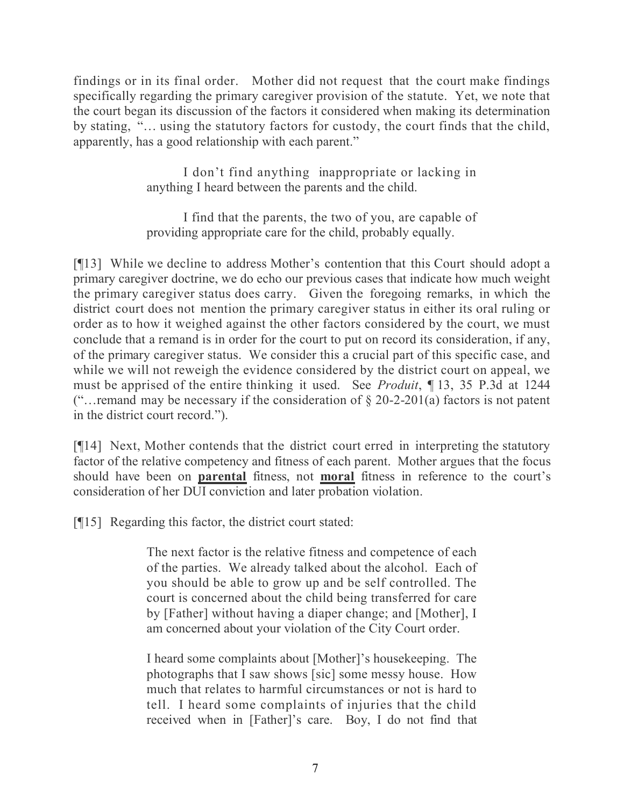findings or in its final order. Mother did not request that the court make findings specifically regarding the primary caregiver provision of the statute. Yet, we note that the court began its discussion of the factors it considered when making its determination by stating, "… using the statutory factors for custody, the court finds that the child, apparently, has a good relationship with each parent."

> I don't find anything inappropriate or lacking in anything I heard between the parents and the child.

> I find that the parents, the two of you, are capable of providing appropriate care for the child, probably equally.

[¶13] While we decline to address Mother's contention that this Court should adopt a primary caregiver doctrine, we do echo our previous cases that indicate how much weight the primary caregiver status does carry. Given the foregoing remarks, in which the district court does not mention the primary caregiver status in either its oral ruling or order as to how it weighed against the other factors considered by the court, we must conclude that a remand is in order for the court to put on record its consideration, if any, of the primary caregiver status. We consider this a crucial part of this specific case, and while we will not reweigh the evidence considered by the district court on appeal, we must be apprised of the entire thinking it used. See *Produit*, ¶ 13, 35 P.3d at 1244 ("... remand may be necessary if the consideration of  $\S$  20-2-201(a) factors is not patent in the district court record.").

[¶14] Next, Mother contends that the district court erred in interpreting the statutory factor of the relative competency and fitness of each parent. Mother argues that the focus should have been on **parental** fitness, not **moral** fitness in reference to the court's consideration of her DUI conviction and later probation violation.

[¶15] Regarding this factor, the district court stated:

The next factor is the relative fitness and competence of each of the parties. We already talked about the alcohol. Each of you should be able to grow up and be self controlled. The court is concerned about the child being transferred for care by [Father] without having a diaper change; and [Mother], I am concerned about your violation of the City Court order.

I heard some complaints about [Mother]'s housekeeping. The photographs that I saw shows [sic] some messy house. How much that relates to harmful circumstances or not is hard to tell. I heard some complaints of injuries that the child received when in [Father]'s care. Boy, I do not find that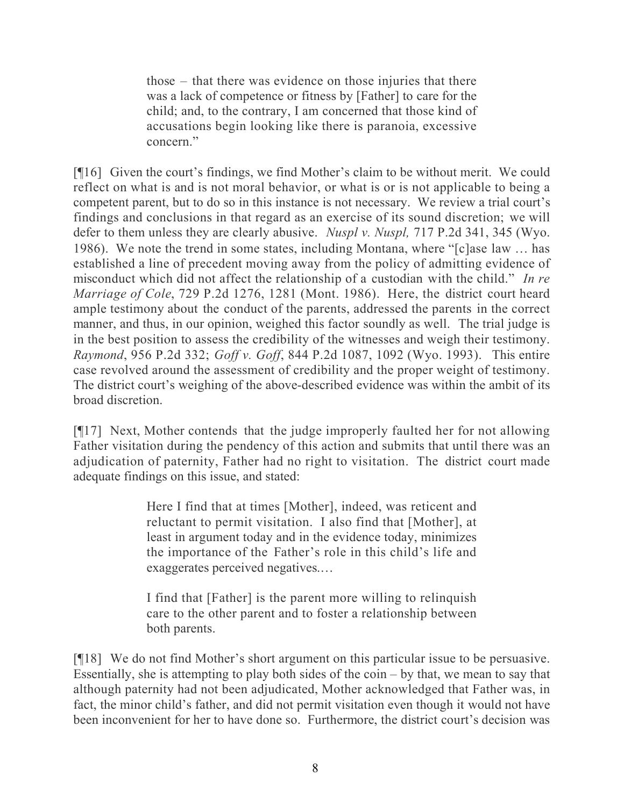those – that there was evidence on those injuries that there was a lack of competence or fitness by [Father] to care for the child; and, to the contrary, I am concerned that those kind of accusations begin looking like there is paranoia, excessive concern<sup>"</sup>

[¶16] Given the court's findings, we find Mother's claim to be without merit. We could reflect on what is and is not moral behavior, or what is or is not applicable to being a competent parent, but to do so in this instance is not necessary. We review a trial court's findings and conclusions in that regard as an exercise of its sound discretion; we will defer to them unless they are clearly abusive. *Nuspl v. Nuspl,* 717 P.2d 341, 345 (Wyo. 1986). We note the trend in some states, including Montana, where "[c]ase law … has established a line of precedent moving away from the policy of admitting evidence of misconduct which did not affect the relationship of a custodian with the child." *In re Marriage of Cole*, 729 P.2d 1276, 1281 (Mont. 1986). Here, the district court heard ample testimony about the conduct of the parents, addressed the parents in the correct manner, and thus, in our opinion, weighed this factor soundly as well. The trial judge is in the best position to assess the credibility of the witnesses and weigh their testimony. *Raymond*, 956 P.2d 332; *Goff v. Goff*, 844 P.2d 1087, 1092 (Wyo. 1993). This entire case revolved around the assessment of credibility and the proper weight of testimony. The district court's weighing of the above-described evidence was within the ambit of its broad discretion.

[¶17] Next, Mother contends that the judge improperly faulted her for not allowing Father visitation during the pendency of this action and submits that until there was an adjudication of paternity, Father had no right to visitation. The district court made adequate findings on this issue, and stated:

> Here I find that at times [Mother], indeed, was reticent and reluctant to permit visitation. I also find that [Mother], at least in argument today and in the evidence today, minimizes the importance of the Father's role in this child's life and exaggerates perceived negatives.…

> I find that [Father] is the parent more willing to relinquish care to the other parent and to foster a relationship between both parents.

[¶18] We do not find Mother's short argument on this particular issue to be persuasive. Essentially, she is attempting to play both sides of the coin – by that, we mean to say that although paternity had not been adjudicated, Mother acknowledged that Father was, in fact, the minor child's father, and did not permit visitation even though it would not have been inconvenient for her to have done so. Furthermore, the district court's decision was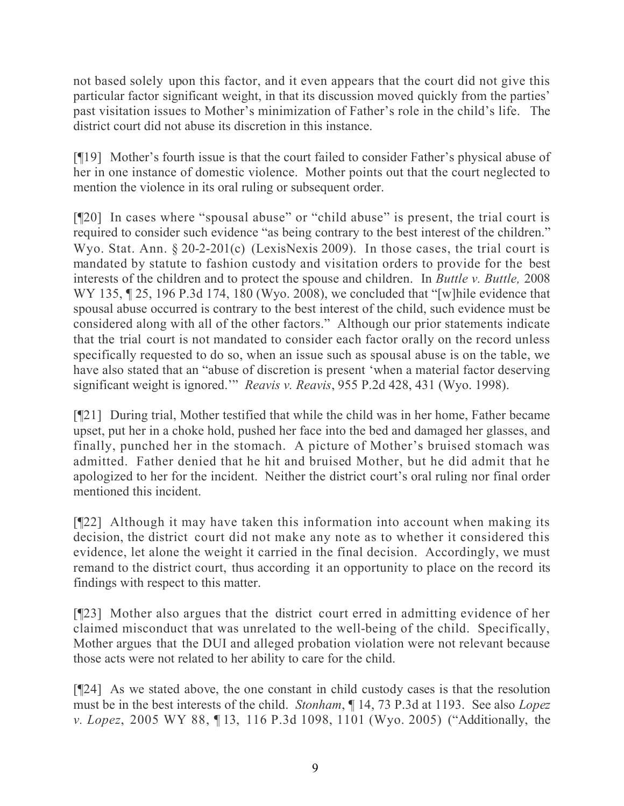not based solely upon this factor, and it even appears that the court did not give this particular factor significant weight, in that its discussion moved quickly from the parties' past visitation issues to Mother's minimization of Father's role in the child's life. The district court did not abuse its discretion in this instance.

[¶19] Mother's fourth issue is that the court failed to consider Father's physical abuse of her in one instance of domestic violence. Mother points out that the court neglected to mention the violence in its oral ruling or subsequent order.

[¶20] In cases where "spousal abuse" or "child abuse" is present, the trial court is required to consider such evidence "as being contrary to the best interest of the children." Wyo. Stat. Ann. § 20-2-201(c) (LexisNexis 2009). In those cases, the trial court is mandated by statute to fashion custody and visitation orders to provide for the best interests of the children and to protect the spouse and children. In *Buttle v. Buttle,* 2008 WY 135,  $\sqrt{25}$ , 196 P.3d 174, 180 (Wyo. 2008), we concluded that "[w] hile evidence that spousal abuse occurred is contrary to the best interest of the child, such evidence must be considered along with all of the other factors." Although our prior statements indicate that the trial court is not mandated to consider each factor orally on the record unless specifically requested to do so, when an issue such as spousal abuse is on the table, we have also stated that an "abuse of discretion is present 'when a material factor deserving significant weight is ignored.'" *Reavis v. Reavis*, 955 P.2d 428, 431 (Wyo. 1998).

[¶21] During trial, Mother testified that while the child was in her home, Father became upset, put her in a choke hold, pushed her face into the bed and damaged her glasses, and finally, punched her in the stomach. A picture of Mother's bruised stomach was admitted. Father denied that he hit and bruised Mother, but he did admit that he apologized to her for the incident. Neither the district court's oral ruling nor final order mentioned this incident.

[¶22] Although it may have taken this information into account when making its decision, the district court did not make any note as to whether it considered this evidence, let alone the weight it carried in the final decision. Accordingly, we must remand to the district court, thus according it an opportunity to place on the record its findings with respect to this matter.

[¶23] Mother also argues that the district court erred in admitting evidence of her claimed misconduct that was unrelated to the well-being of the child. Specifically, Mother argues that the DUI and alleged probation violation were not relevant because those acts were not related to her ability to care for the child.

[¶24] As we stated above, the one constant in child custody cases is that the resolution must be in the best interests of the child. *Stonham*, ¶ 14, 73 P.3d at 1193. See also *Lopez v. Lopez*, 2005 WY 88, ¶ 13, 116 P.3d 1098, 1101 (Wyo. 2005) ("Additionally, the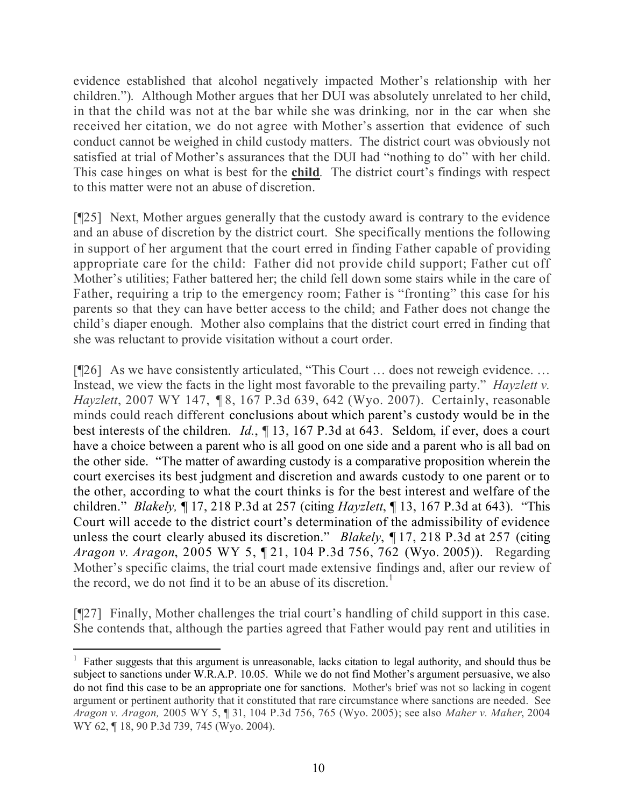evidence established that alcohol negatively impacted Mother's relationship with her children."). Although Mother argues that her DUI was absolutely unrelated to her child, in that the child was not at the bar while she was drinking, nor in the car when she received her citation, we do not agree with Mother's assertion that evidence of such conduct cannot be weighed in child custody matters. The district court was obviously not satisfied at trial of Mother's assurances that the DUI had "nothing to do" with her child. This case hinges on what is best for the **child***.* The district court's findings with respect to this matter were not an abuse of discretion.

[¶25] Next, Mother argues generally that the custody award is contrary to the evidence and an abuse of discretion by the district court. She specifically mentions the following in support of her argument that the court erred in finding Father capable of providing appropriate care for the child: Father did not provide child support; Father cut off Mother's utilities; Father battered her; the child fell down some stairs while in the care of Father, requiring a trip to the emergency room; Father is "fronting" this case for his parents so that they can have better access to the child; and Father does not change the child's diaper enough. Mother also complains that the district court erred in finding that she was reluctant to provide visitation without a court order.

[¶26] As we have consistently articulated, "This Court ... does not reweigh evidence. ... Instead, we view the facts in the light most favorable to the prevailing party." *Hayzlett v. Hayzlett*, 2007 WY 147, ¶ 8, 167 P.3d 639, 642 (Wyo. 2007). Certainly, reasonable minds could reach different conclusions about which parent's custody would be in the best interests of the children. *Id.*, ¶ 13, 167 P.3d at 643. Seldom, if ever, does a court have a choice between a parent who is all good on one side and a parent who is all bad on the other side. "The matter of awarding custody is a comparative proposition wherein the court exercises its best judgment and discretion and awards custody to one parent or to the other, according to what the court thinks is for the best interest and welfare of the children." *Blakely,* ¶ 17, 218 P.3d at 257 (citing *Hayzlett*, ¶ 13, 167 P.3d at 643). "This Court will accede to the district court's determination of the admissibility of evidence unless the court clearly abused its discretion." *Blakely*, ¶ 17, 218 P.3d at 257 (citing *Aragon v. Aragon*, 2005 WY 5, ¶ 21, 104 P.3d 756, 762 (Wyo. 2005)). Regarding Mother's specific claims, the trial court made extensive findings and, after our review of the record, we do not find it to be an abuse of its discretion.<sup>1</sup>

[¶27] Finally, Mother challenges the trial court's handling of child support in this case. She contends that, although the parties agreed that Father would pay rent and utilities in

<sup>&</sup>lt;sup>1</sup> Father suggests that this argument is unreasonable, lacks citation to legal authority, and should thus be subject to sanctions under W.R.A.P. 10.05. While we do not find Mother's argument persuasive, we also do not find this case to be an appropriate one for sanctions. Mother's brief was not so lacking in cogent argument or pertinent authority that it constituted that rare circumstance where sanctions are needed. See *Aragon v. Aragon,* 2005 WY 5, ¶ 31, 104 P.3d 756, 765 (Wyo. 2005); see also *Maher v. Maher*, 2004 WY 62, ¶ 18, 90 P.3d 739, 745 (Wyo. 2004).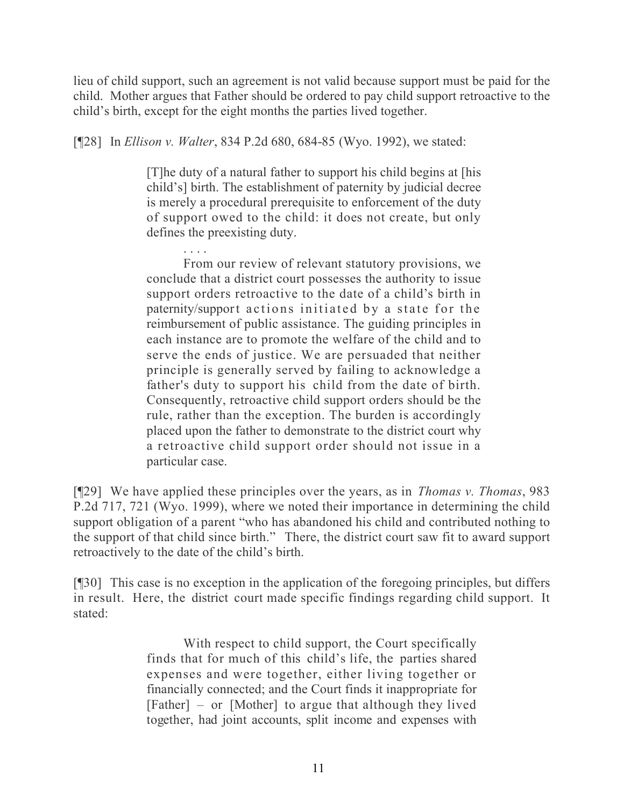lieu of child support, such an agreement is not valid because support must be paid for the child. Mother argues that Father should be ordered to pay child support retroactive to the child's birth, except for the eight months the parties lived together.

[¶28] In *Ellison v. Walter*, 834 P.2d 680, 684-85 (Wyo. 1992), we stated:

[T]he duty of a natural father to support his child begins at [his child's] birth. The establishment of paternity by judicial decree is merely a procedural prerequisite to enforcement of the duty of support owed to the child: it does not create, but only defines the preexisting duty.

. . . . From our review of relevant statutory provisions, we conclude that a district court possesses the authority to issue support orders retroactive to the date of a child's birth in paternity/support actions initiated by a state for the reimbursement of public assistance. The guiding principles in each instance are to promote the welfare of the child and to serve the ends of justice. We are persuaded that neither principle is generally served by failing to acknowledge a father's duty to support his child from the date of birth. Consequently, retroactive child support orders should be the rule, rather than the exception. The burden is accordingly placed upon the father to demonstrate to the district court why a retroactive child support order should not issue in a particular case.

[¶29] We have applied these principles over the years, as in *Thomas v. Thomas*, 983 P.2d 717, 721 (Wyo. 1999), where we noted their importance in determining the child support obligation of a parent "who has abandoned his child and contributed nothing to the support of that child since birth." There, the district court saw fit to award support retroactively to the date of the child's birth.

[¶30] This case is no exception in the application of the foregoing principles, but differs in result. Here, the district court made specific findings regarding child support. It stated:

> With respect to child support, the Court specifically finds that for much of this child's life, the parties shared expenses and were together, either living together or financially connected; and the Court finds it inappropriate for [Father] – or [Mother] to argue that although they lived together, had joint accounts, split income and expenses with